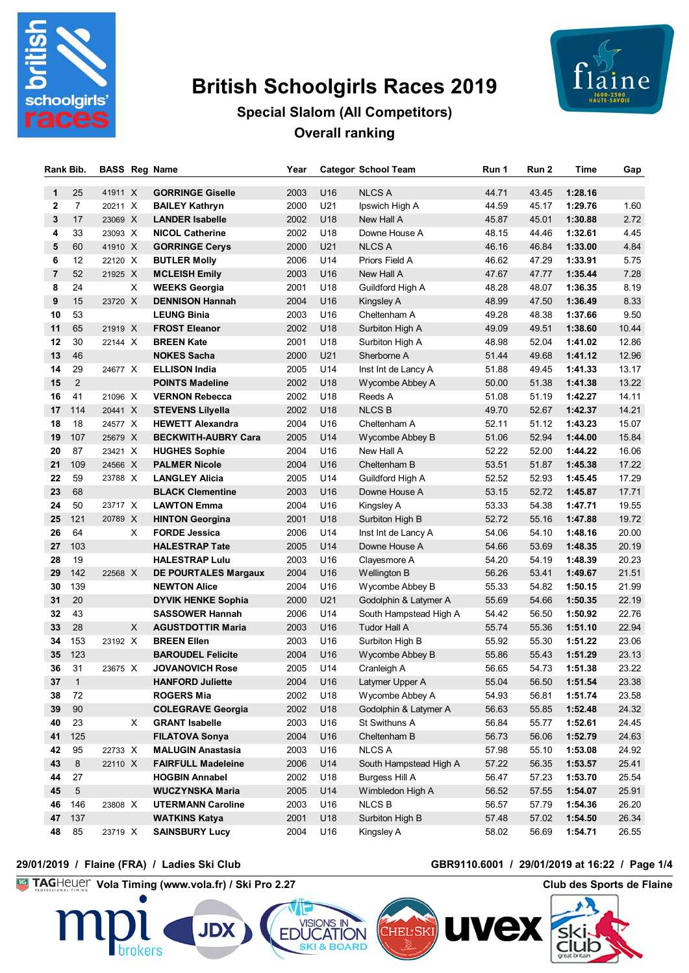

# **British Schoolgirls Races 2019**



# **Special Slalom (All Competitors) Overall ranking**

| Rank Bib.      |                | <b>BASS Reg Name</b> |   |                             | Year |     | <b>Categor School Team</b> | Run 1 | Run 2 | Time    | Gap   |
|----------------|----------------|----------------------|---|-----------------------------|------|-----|----------------------------|-------|-------|---------|-------|
| 1              | 25             | 41911 X              |   | <b>GORRINGE Giselle</b>     | 2003 | U16 | <b>NLCS A</b>              | 44.71 | 43.45 | 1:28.16 |       |
| 2              | $\overline{7}$ | 20211 X              |   | <b>BAILEY Kathryn</b>       | 2000 | U21 | Ipswich High A             | 44.59 | 45.17 | 1:29.76 | 1.60  |
| 3              | 17             | 23069 X              |   | <b>LANDER Isabelle</b>      | 2002 | U18 | New Hall A                 | 45.87 | 45.01 | 1:30.88 | 2.72  |
| 4              | 33             | 23093 X              |   | <b>NICOL Catherine</b>      | 2002 | U18 | Downe House A              | 48.15 | 44.46 | 1:32.61 | 4.45  |
| 5              | 60             | 41910 X              |   | <b>GORRINGE Cerys</b>       | 2000 | U21 | <b>NLCS A</b>              | 46.16 | 46.84 | 1:33.00 | 4.84  |
| 6              | 12             | 22120 X              |   | <b>BUTLER Molly</b>         | 2006 | U14 | Priors Field A             | 46.62 | 47.29 | 1:33.91 | 5.75  |
| $\overline{7}$ | 52             | 21925 X              |   | <b>MCLEISH Emily</b>        | 2003 | U16 | New Hall A                 | 47.67 | 47.77 | 1:35.44 | 7.28  |
| 8              | 24             |                      | Χ | <b>WEEKS Georgia</b>        | 2001 | U18 | Guildford High A           | 48.28 | 48.07 | 1:36.35 | 8.19  |
| 9              | 15             | 23720 X              |   | <b>DENNISON Hannah</b>      | 2004 | U16 | Kingsley A                 | 48.99 | 47.50 | 1:36.49 | 8.33  |
| 10             | 53             |                      |   | <b>LEUNG Binia</b>          | 2003 | U16 | Cheltenham A               | 49.28 | 48.38 | 1:37.66 | 9.50  |
| 11             | 65             | 21919 X              |   | <b>FROST Eleanor</b>        | 2002 | U18 | Surbiton High A            | 49.09 | 49.51 | 1:38.60 | 10.44 |
| 12             | 30             | 22144 X              |   | <b>BREEN Kate</b>           | 2001 | U18 | Surbiton High A            | 48.98 | 52.04 | 1:41.02 | 12.86 |
| 13             | 46             |                      |   | <b>NOKES Sacha</b>          | 2000 | U21 | Sherborne A                | 51.44 | 49.68 | 1:41.12 | 12.96 |
| 14             | 29             | 24677 X              |   | <b>ELLISON India</b>        | 2005 | U14 | Inst Int de Lancy A        | 51.88 | 49.45 | 1:41.33 | 13.17 |
| 15             | 2              |                      |   | <b>POINTS Madeline</b>      | 2002 | U18 | Wycombe Abbey A            | 50.00 | 51.38 | 1:41.38 | 13.22 |
| 16             | 41             | 21096 X              |   | <b>VERNON Rebecca</b>       | 2002 | U18 | Reeds A                    | 51.08 | 51.19 | 1:42.27 | 14.11 |
| 17             | 114            | 20441 X              |   | <b>STEVENS Lilyella</b>     | 2002 | U18 | <b>NLCS B</b>              | 49.70 | 52.67 | 1:42.37 | 14.21 |
| 18             | 18             | 24577 X              |   | <b>HEWETT Alexandra</b>     | 2004 | U16 | Cheltenham A               | 52.11 | 51.12 | 1:43.23 | 15.07 |
| 19             | 107            | 25679 X              |   | <b>BECKWITH-AUBRY Cara</b>  | 2005 | U14 | Wycombe Abbey B            | 51.06 | 52.94 | 1:44.00 | 15.84 |
| 20             | 87             | 23421 X              |   | <b>HUGHES Sophie</b>        | 2004 | U16 | New Hall A                 | 52.22 | 52.00 | 1:44.22 | 16.06 |
| 21             | 109            | 24566 X              |   | <b>PALMER Nicole</b>        | 2004 | U16 | Cheltenham B               | 53.51 | 51.87 | 1:45.38 | 17.22 |
| 22             | 59             | 23788 X              |   | <b>LANGLEY Alicia</b>       | 2005 | U14 | Guildford High A           | 52.52 | 52.93 | 1:45.45 | 17.29 |
| 23             | 68             |                      |   | <b>BLACK Clementine</b>     | 2003 | U16 | Downe House A              | 53.15 | 52.72 | 1:45.87 | 17.71 |
| 24             | 50             | 23717 X              |   | <b>LAWTON Emma</b>          | 2004 | U16 | Kingsley A                 | 53.33 | 54.38 | 1:47.71 | 19.55 |
| 25             | 121            | 20789 X              |   | <b>HINTON Georgina</b>      | 2001 | U18 | Surbiton High B            | 52.72 | 55.16 | 1:47.88 | 19.72 |
| 26             | 64             |                      | X | <b>FORDE Jessica</b>        | 2006 | U14 | Inst Int de Lancy A        | 54.06 | 54.10 | 1:48.16 | 20.00 |
| 27             | 103            |                      |   | <b>HALESTRAP Tate</b>       | 2005 | U14 | Downe House A              | 54.66 | 53.69 | 1:48.35 | 20.19 |
| 28             | 19             |                      |   | <b>HALESTRAP Lulu</b>       | 2003 | U16 | Clayesmore A               | 54.20 | 54.19 | 1:48.39 | 20.23 |
| 29             | 142            | 22568 X              |   | <b>DE POURTALES Margaux</b> | 2004 | U16 | Wellington B               | 56.26 | 53.41 | 1:49.67 | 21.51 |
| 30             | 139            |                      |   | <b>NEWTON Alice</b>         | 2004 | U16 | Wycombe Abbey B            | 55.33 | 54.82 | 1:50.15 | 21.99 |
| 31             | 20             |                      |   | <b>DYVIK HENKE Sophia</b>   | 2000 | U21 | Godolphin & Latymer A      | 55.69 | 54.66 | 1:50.35 | 22.19 |
| 32             | 43             |                      |   | <b>SASSOWER Hannah</b>      | 2006 | U14 | South Hampstead High A     | 54.42 | 56.50 | 1:50.92 | 22.76 |
| 33             | 28             |                      | X | <b>AGUSTDOTTIR Maria</b>    | 2003 | U16 | Tudor Hall A               | 55.74 | 55.36 | 1:51.10 | 22.94 |
| 34             | 153            | 23192 X              |   | <b>BREEN Ellen</b>          | 2003 | U16 | Surbiton High B            | 55.92 | 55.30 | 1:51.22 | 23.06 |
| 35             | 123            |                      |   | <b>BAROUDEL Felicite</b>    | 2004 | U16 | Wycombe Abbey B            | 55.86 | 55.43 | 1:51.29 | 23.13 |
| 36             | 31             | 23675 X              |   | <b>JOVANOVICH Rose</b>      | 2005 | U14 | Cranleigh A                | 56.65 | 54.73 | 1:51.38 | 23.22 |
| 37             | $\mathbf{1}$   |                      |   | <b>HANFORD Juliette</b>     | 2004 | U16 | Latymer Upper A            | 55.04 | 56.50 | 1:51.54 | 23.38 |
| 38             | 72             |                      |   | <b>ROGERS Mia</b>           | 2002 | U18 | Wycombe Abbey A            | 54.93 | 56.81 | 1:51.74 | 23.58 |
| 39             | 90             |                      |   | <b>COLEGRAVE Georgia</b>    | 2002 | U18 | Godolphin & Latymer A      | 56.63 | 55.85 | 1:52.48 | 24.32 |
| 40             | 23             |                      | X | <b>GRANT Isabelle</b>       | 2003 | U16 | St Swithuns A              | 56.84 | 55.77 | 1:52.61 | 24.45 |
| 41             | 125            |                      |   | <b>FILATOVA Sonya</b>       | 2004 | U16 | Cheltenham B               | 56.73 | 56.06 | 1:52.79 | 24.63 |
| 42             | 95             | 22733 X              |   | <b>MALUGIN Anastasia</b>    | 2003 | U16 | <b>NLCS A</b>              | 57.98 | 55.10 | 1:53.08 | 24.92 |
| 43             | $\bf 8$        | 22110 X              |   | <b>FAIRFULL Madeleine</b>   | 2006 | U14 | South Hampstead High A     | 57.22 | 56.35 | 1:53.57 | 25.41 |
| 44             | 27             |                      |   | <b>HOGBIN Annabel</b>       | 2002 | U18 | Burgess Hill A             | 56.47 | 57.23 | 1:53.70 | 25.54 |
| 45             | $\,$ 5 $\,$    |                      |   | <b>WUCZYNSKA Maria</b>      | 2005 | U14 | Wimbledon High A           | 56.52 | 57.55 | 1:54.07 | 25.91 |
| 46             | 146            | 23808 X              |   | <b>UTERMANN Caroline</b>    | 2003 | U16 | <b>NLCS B</b>              | 56.57 | 57.79 | 1:54.36 | 26.20 |
| 47             | 137            |                      |   | <b>WATKINS Katya</b>        | 2001 | U18 | Surbiton High B            | 57.48 | 57.02 | 1:54.50 | 26.34 |
| 48             | 85             | 23719 X              |   | <b>SAINSBURY Lucy</b>       | 2004 | U16 | Kingsley A                 | 58.02 | 56.69 | 1:54.71 | 26.55 |

**ATION** 

**SKI & BOARD** 

**EDUC** 

#### **29/01/2019 / Flaine (FRA) / Ladies Ski Club GBR9110.6001 / 29/01/2019 at 16:22 / Page 1/4**

hrokers

**Vola Timing (www.vola.fr) / Ski Pro 2.27 Club des Sports de Flaine** 

**JDX** 



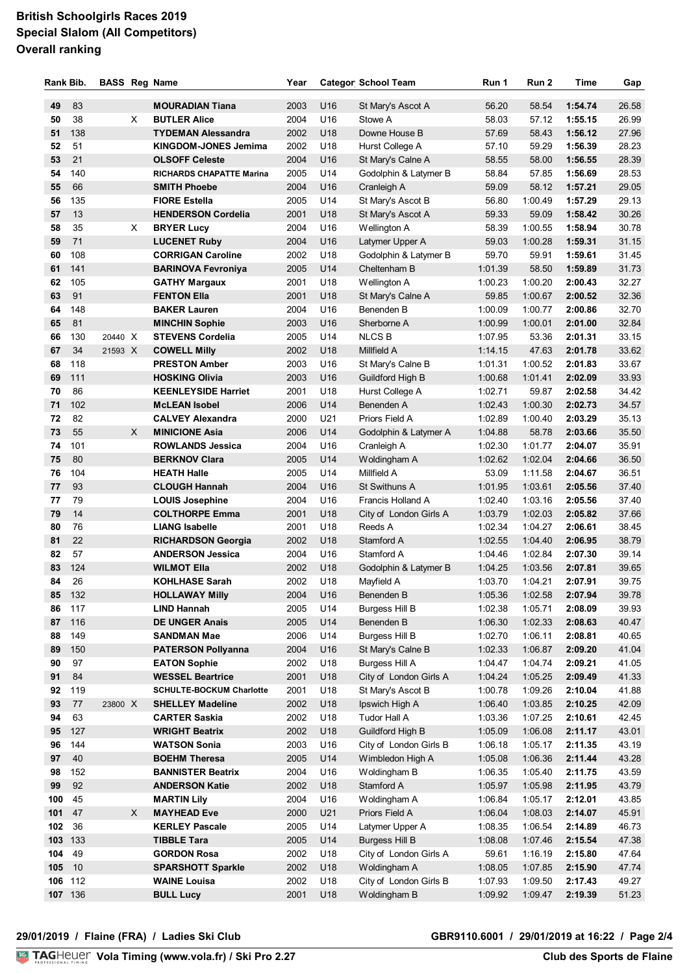## **British Schoolgirls Races 2019 Special Slalom (All Competitors) Overall ranking**

| Rank Bib. |           | <b>BASS Reg Name</b> |    |                                                            | Year         |            | <b>Categor School Team</b>                 | Run 1              | Run 2              | Time               | Gap            |
|-----------|-----------|----------------------|----|------------------------------------------------------------|--------------|------------|--------------------------------------------|--------------------|--------------------|--------------------|----------------|
|           |           |                      |    |                                                            |              |            |                                            |                    |                    |                    |                |
| 49        | 83<br>38  |                      |    | <b>MOURADIAN Tiana</b><br><b>BUTLER Alice</b>              | 2003         | U16        | St Mary's Ascot A<br>Stowe A               | 56.20              | 58.54              | 1:54.74            | 26.58          |
| 50<br>51  | 138       |                      | X  |                                                            | 2004<br>2002 | U16<br>U18 | Downe House B                              | 58.03<br>57.69     | 57.12<br>58.43     | 1:55.15<br>1:56.12 | 26.99<br>27.96 |
| 52        | 51        |                      |    | <b>TYDEMAN Alessandra</b>                                  |              | U18        |                                            |                    |                    | 1:56.39            | 28.23          |
| 53        | 21        |                      |    | <b>KINGDOM-JONES Jemima</b><br><b>OLSOFF Celeste</b>       | 2002<br>2004 | U16        | Hurst College A                            | 57.10<br>58.55     | 59.29<br>58.00     | 1:56.55            | 28.39          |
| 54        | 140       |                      |    | <b>RICHARDS CHAPATTE Marina</b>                            | 2005         | U14        | St Mary's Calne A<br>Godolphin & Latymer B | 58.84              | 57.85              | 1:56.69            | 28.53          |
| 55        | 66        |                      |    | <b>SMITH Phoebe</b>                                        | 2004         | U16        | Cranleigh A                                | 59.09              | 58.12              | 1:57.21            | 29.05          |
| 56        | 135       |                      |    | <b>FIORE Estella</b>                                       | 2005         | U14        | St Mary's Ascot B                          | 56.80              | 1:00.49            | 1:57.29            | 29.13          |
| 57        | 13        |                      |    | <b>HENDERSON Cordelia</b>                                  | 2001         | U18        | St Mary's Ascot A                          | 59.33              | 59.09              | 1:58.42            | 30.26          |
| 58        | 35        |                      | X. | <b>BRYER Lucy</b>                                          | 2004         | U16        | Wellington A                               | 58.39              | 1:00.55            | 1:58.94            | 30.78          |
| 59        | 71        |                      |    | <b>LUCENET Ruby</b>                                        | 2004         | U16        | Latymer Upper A                            | 59.03              | 1:00.28            | 1:59.31            | 31.15          |
| 60        | 108       |                      |    | <b>CORRIGAN Caroline</b>                                   | 2002         | U18        | Godolphin & Latymer B                      | 59.70              | 59.91              | 1:59.61            | 31.45          |
| 61        | 141       |                      |    | <b>BARINOVA Fevroniya</b>                                  | 2005         | U14        | Cheltenham B                               | 1:01.39            | 58.50              | 1:59.89            | 31.73          |
| 62        | 105       |                      |    | <b>GATHY Margaux</b>                                       | 2001         | U18        | Wellington A                               | 1:00.23            | 1:00.20            | 2:00.43            | 32.27          |
| 63        | 91        |                      |    | <b>FENTON Ella</b>                                         | 2001         | U18        | St Mary's Calne A                          | 59.85              | 1:00.67            | 2:00.52            | 32.36          |
| 64        | 148       |                      |    | <b>BAKER Lauren</b>                                        | 2004         | U16        | Benenden B                                 | 1:00.09            | 1:00.77            | 2:00.86            | 32.70          |
| 65        | 81        |                      |    | <b>MINCHIN Sophie</b>                                      | 2003         | U16        | Sherborne A                                | 1:00.99            | 1:00.01            | 2:01.00            | 32.84          |
| 66        | 130       | 20440 X              |    | <b>STEVENS Cordelia</b>                                    | 2005         | U14        | <b>NLCS B</b>                              | 1:07.95            | 53.36              | 2:01.31            | 33.15          |
| 67        | 34        | 21593 X              |    | <b>COWELL Milly</b>                                        | 2002         | U18        | Millfield A                                | 1:14.15            | 47.63              | 2:01.78            | 33.62          |
| 68        | 118       |                      |    | <b>PRESTON Amber</b>                                       | 2003         | U16        | St Mary's Calne B                          | 1:01.31            | 1:00.52            | 2:01.83            | 33.67          |
| 69        | 111       |                      |    | <b>HOSKING Olivia</b>                                      | 2003         | U16        | Guildford High B                           | 1:00.68            | 1:01.41            | 2:02.09            | 33.93          |
| 70        | 86        |                      |    | <b>KEENLEYSIDE Harriet</b>                                 | 2001         | U18        | Hurst College A                            | 1:02.71            | 59.87              | 2:02.58            | 34.42          |
| 71        | 102       |                      |    | <b>McLEAN Isobel</b>                                       | 2006         | U14        | Benenden A                                 | 1:02.43            | 1:00.30            | 2:02.73            | 34.57          |
| 72        | 82        |                      |    | <b>CALVEY Alexandra</b>                                    | 2000         | U21        | Priors Field A                             | 1:02.89            | 1:00.40            | 2:03.29            | 35.13          |
| 73        | 55        |                      | X  | <b>MINICIONE Asia</b>                                      | 2006         | U14        | Godolphin & Latymer A                      | 1:04.88            | 58.78              | 2:03.66            | 35.50          |
| 74        | 101       |                      |    | <b>ROWLANDS Jessica</b>                                    | 2004         | U16        | Cranleigh A                                | 1:02.30            | 1:01.77            | 2:04.07            | 35.91          |
| 75        | 80        |                      |    | <b>BERKNOV Clara</b>                                       | 2005         | U14        | Woldingham A                               | 1:02.62            | 1:02.04            | 2:04.66            | 36.50          |
| 76        | 104       |                      |    | <b>HEATH Halle</b>                                         | 2005         | U14        | Millfield A                                | 53.09              | 1:11.58            | 2:04.67            | 36.51          |
| 77        | 93        |                      |    | <b>CLOUGH Hannah</b>                                       | 2004         | U16        | <b>St Swithuns A</b>                       | 1:01.95            | 1:03.61            | 2:05.56            | 37.40          |
| 77        | 79        |                      |    | <b>LOUIS Josephine</b>                                     | 2004         | U16        | Francis Holland A                          | 1:02.40            | 1:03.16            | 2:05.56            | 37.40          |
| 79        | 14        |                      |    | <b>COLTHORPE Emma</b>                                      | 2001         | U18        | City of London Girls A                     | 1:03.79            | 1:02.03            | 2:05.82            | 37.66          |
| 80        | 76        |                      |    | <b>LIANG Isabelle</b>                                      | 2001         | U18        | Reeds A                                    | 1:02.34            | 1:04.27            | 2:06.61            | 38.45          |
| 81        | 22        |                      |    | <b>RICHARDSON Georgia</b>                                  | 2002         | U18        | Stamford A                                 | 1:02.55            | 1:04.40            | 2:06.95            | 38.79          |
| 82        | 57        |                      |    | <b>ANDERSON Jessica</b>                                    | 2004         | U16        | Stamford A                                 | 1:04.46            | 1:02.84            | 2:07.30            | 39.14          |
| 83        | 124       |                      |    | <b>WILMOT Ella</b>                                         | 2002         | U18        | Godolphin & Latymer B                      | 1:04.25            | 1:03.56            | 2:07.81            | 39.65          |
| 84        | 26        |                      |    | <b>KOHLHASE Sarah</b>                                      | 2002         | U18        | Mayfield A                                 | 1:03.70            | 1:04.21            | 2:07.91            | 39.75          |
| 85        | 132       |                      |    | <b>HOLLAWAY Milly</b>                                      | 2004 U16     |            | Benenden B                                 | 1:05.36            | 1:02.58            | 2:07.94            | 39.78          |
| 86        | 117       |                      |    | LIND Hannah                                                | 2005         | U14        | <b>Burgess Hill B</b>                      | 1:02.38            | 1:05.71            | 2:08.09            | 39.93          |
| 87        | 116       |                      |    | <b>DE UNGER Anais</b>                                      | 2005         | U14        | Benenden B                                 | 1:06.30            | 1:02.33            | 2:08.63            | 40.47          |
| 88        | 149       |                      |    | <b>SANDMAN Mae</b>                                         | 2006         | U14        | <b>Burgess Hill B</b>                      | 1:02.70            | 1:06.11            | 2:08.81            | 40.65          |
| 89        | 150       |                      |    | <b>PATERSON Pollyanna</b>                                  | 2004         | U16        | St Mary's Calne B                          | 1:02.33            | 1:06.87            | 2:09.20            | 41.04          |
| 90        | 97        |                      |    | <b>EATON Sophie</b>                                        | 2002         | U18        | Burgess Hill A                             | 1:04.47            | 1:04.74            | 2:09.21            | 41.05          |
| 91        | 84<br>119 |                      |    | <b>WESSEL Beartrice</b><br><b>SCHULTE-BOCKUM Charlotte</b> | 2001         | U18        | City of London Girls A                     | 1.04.24            | 1:05.25            | 2:09.49            | 41.33          |
| 92        |           |                      |    |                                                            | 2001         | U18        | St Mary's Ascot B                          | 1:00.78            | 1:09.26            | 2:10.04            | 41.88          |
| 93<br>94  | 77<br>63  | 23800 X              |    | <b>SHELLEY Madeline</b><br><b>CARTER Saskia</b>            | 2002<br>2002 | U18<br>U18 | Ipswich High A<br>Tudor Hall A             | 1:06.40<br>1:03.36 | 1:03.85<br>1:07.25 | 2:10.25<br>2:10.61 | 42.09<br>42.45 |
| 95        | 127       |                      |    | <b>WRIGHT Beatrix</b>                                      | 2002         | U18        | Guildford High B                           | 1:05.09            | 1:06.08            | 2:11.17            | 43.01          |
| 96        | 144       |                      |    | <b>WATSON Sonia</b>                                        | 2003         | U16        | City of London Girls B                     | 1:06.18            | 1:05.17            | 2:11.35            | 43.19          |
| 97        | 40        |                      |    | <b>BOEHM Theresa</b>                                       | 2005         | U14        | Wimbledon High A                           | 1:05.08            | 1:06.36            | 2:11.44            | 43.28          |
| 98        | 152       |                      |    | <b>BANNISTER Beatrix</b>                                   | 2004         | U16        | Woldingham B                               | 1:06.35            | 1:05.40            | 2:11.75            | 43.59          |
| 99        | 92        |                      |    | <b>ANDERSON Katie</b>                                      | 2002         | U18        | Stamford A                                 | 1:05.97            | 1:05.98            | 2:11.95            | 43.79          |
| 100       | 45        |                      |    | <b>MARTIN Lily</b>                                         | 2004         | U16        | Woldingham A                               | 1:06.84            | 1:05.17            | 2:12.01            | 43.85          |
| 101       | 47        |                      | X. | <b>MAYHEAD Eve</b>                                         | 2000         | U21        | Priors Field A                             | 1:06.04            | 1:08.03            | 2:14.07            | 45.91          |
| 102       | 36        |                      |    | <b>KERLEY Pascale</b>                                      | 2005         | U14        | Latymer Upper A                            | 1:08.35            | 1:06.54            | 2:14.89            | 46.73          |
| 103       | 133       |                      |    | <b>TIBBLE Tara</b>                                         | 2005         | U14        | <b>Burgess Hill B</b>                      | 1:08.08            | 1:07.46            | 2:15.54            | 47.38          |
| 104       | 49        |                      |    | <b>GORDON Rosa</b>                                         | 2002         | U18        | City of London Girls A                     | 59.61              | 1:16.19            | 2:15.80            | 47.64          |
| 105       | 10        |                      |    | <b>SPARSHOTT Sparkle</b>                                   | 2002         | U18        | Woldingham A                               | 1:08.05            | 1:07.85            | 2:15.90            | 47.74          |
| 106       | 112       |                      |    | <b>WAINE Louisa</b>                                        | 2002         | U18        | City of London Girls B                     | 1:07.93            | 1:09.50            | 2:17.43            | 49.27          |
| 107 136   |           |                      |    | <b>BULL Lucy</b>                                           | 2001         | U18        | Woldingham B                               | 1:09.92            | 1:09.47            | 2:19.39            | 51.23          |
|           |           |                      |    |                                                            |              |            |                                            |                    |                    |                    |                |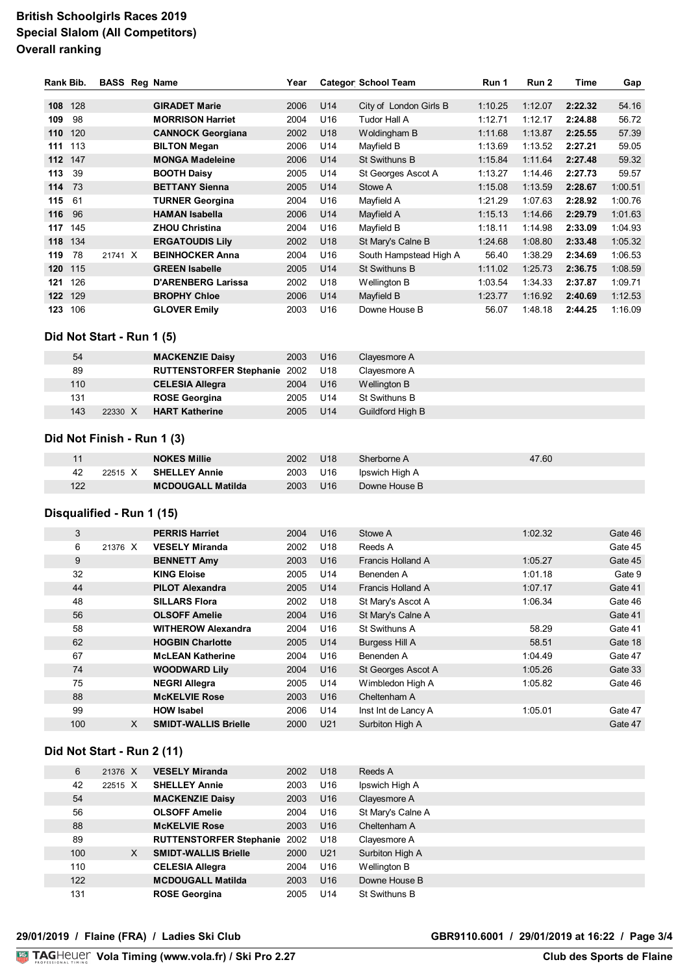### **British Schoolgirls Races 2019 Special Slalom (All Competitors) Overall ranking**

| Rank Bib. |     |         | <b>BASS Reg Name</b>      | Year |     | <b>Categor School Team</b> | Run 1   | Run 2   | Time    | Gap     |
|-----------|-----|---------|---------------------------|------|-----|----------------------------|---------|---------|---------|---------|
| 108       | 128 |         | <b>GIRADET Marie</b>      | 2006 | U14 | City of London Girls B     | 1:10.25 | 1:12.07 | 2:22.32 | 54.16   |
| 109       | 98  |         | <b>MORRISON Harriet</b>   | 2004 | U16 | Tudor Hall A               | 1:12.71 | 1:12.17 | 2:24.88 | 56.72   |
| 110       | 120 |         | <b>CANNOCK Georgiana</b>  | 2002 | U18 | Woldingham B               | 1:11.68 | 1:13.87 | 2:25.55 | 57.39   |
| 111       | 113 |         | <b>BILTON Megan</b>       | 2006 | U14 | Mayfield B                 | 1:13.69 | 1:13.52 | 2:27.21 | 59.05   |
| 112       | 147 |         | <b>MONGA Madeleine</b>    | 2006 | U14 | St Swithuns B              | 1:15.84 | 1:11.64 | 2:27.48 | 59.32   |
| 113       | 39  |         | <b>BOOTH Daisy</b>        | 2005 | U14 | St Georges Ascot A         | 1:13.27 | 1:14.46 | 2:27.73 | 59.57   |
| 114       | -73 |         | <b>BETTANY Sienna</b>     | 2005 | U14 | Stowe A                    | 1:15.08 | 1:13.59 | 2:28.67 | 1:00.51 |
| 115       | 61  |         | <b>TURNER Georgina</b>    | 2004 | U16 | Mayfield A                 | 1:21.29 | 1:07.63 | 2:28.92 | 1:00.76 |
| 116       | 96  |         | <b>HAMAN Isabella</b>     | 2006 | U14 | Mayfield A                 | 1:15.13 | 1:14.66 | 2:29.79 | 1:01.63 |
| 117       | 145 |         | <b>ZHOU Christina</b>     | 2004 | U16 | Mayfield B                 | 1:18.11 | 1:14.98 | 2:33.09 | 1:04.93 |
| 118       | 134 |         | <b>ERGATOUDIS Lily</b>    | 2002 | U18 | St Mary's Calne B          | 1:24.68 | 1:08.80 | 2:33.48 | 1:05.32 |
| 119       | 78  | 21741 X | <b>BEINHOCKER Anna</b>    | 2004 | U16 | South Hampstead High A     | 56.40   | 1:38.29 | 2:34.69 | 1:06.53 |
| 120       | 115 |         | <b>GREEN Isabelle</b>     | 2005 | U14 | St Swithuns B              | 1:11.02 | 1:25.73 | 2:36.75 | 1:08.59 |
| 121       | 126 |         | <b>D'ARENBERG Larissa</b> | 2002 | U18 | Wellington B               | 1:03.54 | 1:34.33 | 2:37.87 | 1:09.71 |
| 122       | 129 |         | <b>BROPHY Chloe</b>       | 2006 | U14 | Mayfield B                 | 1:23.77 | 1:16.92 | 2:40.69 | 1:12.53 |
| 123       | 106 |         | <b>GLOVER Emily</b>       | 2003 | U16 | Downe House B              | 56.07   | 1:48.18 | 2:44.25 | 1:16.09 |

#### **Did Not Start - Run 1 (5)**

| 54  |         | <b>MACKENZIE Daisy</b>              | 2003 | U <sub>16</sub> | Clayesmore A            |
|-----|---------|-------------------------------------|------|-----------------|-------------------------|
| 89  |         | <b>RUTTENSTORFER Stephanie 2002</b> |      | U <sub>18</sub> | Clayesmore A            |
| 110 |         | <b>CELESIA Allegra</b>              | 2004 | U <sub>16</sub> | Wellington B            |
| 131 |         | <b>ROSE Georgina</b>                | 2005 | U14             | St Swithuns B           |
| 143 | 22330 X | <b>HART Katherine</b>               | 2005 | U14             | <b>Guildford High B</b> |

#### **Did Not Finish - Run 1 (3)**

|     |         | <b>NOKES Millie</b>      | 2002 | U18             | Sherborne A    | 47.60 |
|-----|---------|--------------------------|------|-----------------|----------------|-------|
| 42  | 22515 X | <b>SHELLEY Annie</b>     | 2003 | U16             | Ipswich High A |       |
| 122 |         | <b>MCDOUGALL Matilda</b> | 2003 | U <sub>16</sub> | Downe House B  |       |

#### **Disqualified - Run 1 (15)**

| 3   |         | <b>PERRIS Harriet</b>       | 2004 | U <sub>16</sub> | Stowe A               | 1:02.32 | Gate 46 |
|-----|---------|-----------------------------|------|-----------------|-----------------------|---------|---------|
| 6   | 21376 X | <b>VESELY Miranda</b>       | 2002 | U <sub>18</sub> | Reeds A               |         | Gate 45 |
| 9   |         | <b>BENNETT Amy</b>          | 2003 | U <sub>16</sub> | Francis Holland A     | 1:05.27 | Gate 45 |
| 32  |         | <b>KING Eloise</b>          | 2005 | U14             | Benenden A            | 1:01.18 | Gate 9  |
| 44  |         | <b>PILOT Alexandra</b>      | 2005 | U14             | Francis Holland A     | 1:07.17 | Gate 41 |
| 48  |         | <b>SILLARS Flora</b>        | 2002 | U <sub>18</sub> | St Mary's Ascot A     | 1:06.34 | Gate 46 |
| 56  |         | <b>OLSOFF Amelie</b>        | 2004 | U <sub>16</sub> | St Mary's Calne A     |         | Gate 41 |
| 58  |         | <b>WITHEROW Alexandra</b>   | 2004 | U16             | St Swithuns A         | 58.29   | Gate 41 |
| 62  |         | <b>HOGBIN Charlotte</b>     | 2005 | U14             | <b>Burgess Hill A</b> | 58.51   | Gate 18 |
| 67  |         | <b>McLEAN Katherine</b>     | 2004 | U <sub>16</sub> | Benenden A            | 1:04.49 | Gate 47 |
| 74  |         | <b>WOODWARD Lily</b>        | 2004 | U <sub>16</sub> | St Georges Ascot A    | 1:05.26 | Gate 33 |
| 75  |         | <b>NEGRI Allegra</b>        | 2005 | U14             | Wimbledon High A      | 1:05.82 | Gate 46 |
| 88  |         | <b>MCKELVIE Rose</b>        | 2003 | U <sub>16</sub> | Cheltenham A          |         |         |
| 99  |         | <b>HOW Isabel</b>           | 2006 | U14             | Inst Int de Lancy A   | 1:05.01 | Gate 47 |
| 100 | X       | <b>SMIDT-WALLIS Brielle</b> | 2000 | U21             | Surbiton High A       |         | Gate 47 |

#### **Did Not Start - Run 2 (11)**

| 6   | 21376 X | <b>VESELY Miranda</b>               | 2002 | U <sub>18</sub> | Reeds A           |
|-----|---------|-------------------------------------|------|-----------------|-------------------|
| 42  | 22515 X | <b>SHELLEY Annie</b>                | 2003 | U16             | Ipswich High A    |
| 54  |         | <b>MACKENZIE Daisy</b>              | 2003 | U <sub>16</sub> | Clayesmore A      |
| 56  |         | <b>OLSOFF Amelie</b>                | 2004 | U16             | St Mary's Calne A |
| 88  |         | <b>MCKELVIE Rose</b>                | 2003 | U <sub>16</sub> | Cheltenham A      |
| 89  |         | <b>RUTTENSTORFER Stephanie 2002</b> |      | U18             | Clayesmore A      |
| 100 | X       | <b>SMIDT-WALLIS Brielle</b>         | 2000 | U21             | Surbiton High A   |
| 110 |         | <b>CELESIA Allegra</b>              | 2004 | U16             | Wellington B      |
| 122 |         | <b>MCDOUGALL Matilda</b>            | 2003 | U16             | Downe House B     |
| 131 |         | <b>ROSE Georgina</b>                | 2005 | U <sub>14</sub> | St Swithuns B     |